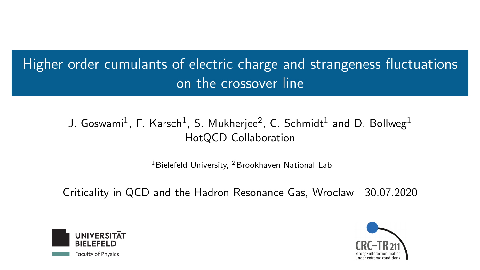<span id="page-0-0"></span>Higher order cumulants of electric charge and strangeness fluctuations on the crossover line

> J. Goswami $^1$ , F. Karsch $^1$ , S. Mukherjee $^2$ , C. Schmidt $^1$  and D. Bollweg $^1$ HotQCD Collaboration

> > $1B$ ielefeld University,  $2B$ rookhaven National Lab

Criticality in QCD and the Hadron Resonance Gas, Wroclaw | 30.07.2020



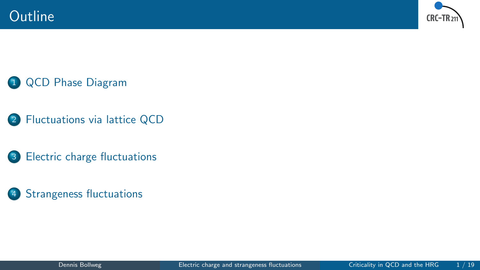



1 [QCD Phase Diagram](#page-2-0)

- 2 [Fluctuations via lattice QCD](#page-4-0)
- 3 [Electric charge fluctuations](#page-7-0)
- 4 [Strangeness fluctuations](#page-14-0)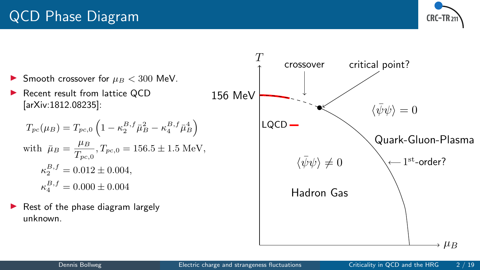

<span id="page-2-0"></span>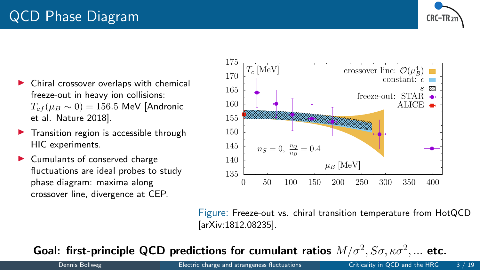

- Chiral crossover overlaps with chemical freeze-out in heavy ion collisions:  $T_{cf}(\mu_B \sim 0) = 156.5$  MeV [Andronic et al. Nature 2018].
- $\blacktriangleright$  Transition region is accessible through HIC experiments.
- Cumulants of conserved charge fluctuations are ideal probes to study phase diagram: maxima along crossover line, divergence at CEP.



Figure: Freeze-out vs. chiral transition temperature from HotQCD [arXiv:1812.08235].

Goal: first-principle QCD predictions for cumulant ratios  $M/\sigma^2$ ,  $S\sigma$ ,  $\kappa\sigma^2$ , ... etc.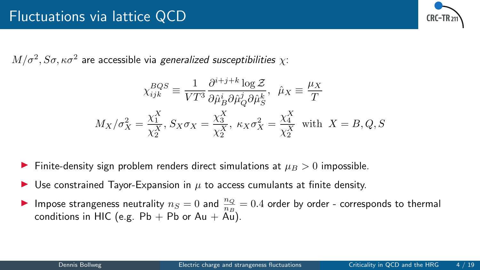

<span id="page-4-0"></span> $M/\sigma^2, S\sigma, \kappa \sigma^2$  are accessible via *generalized susceptibilities*  $\chi$ :

$$
\chi_{ijk}^{BQS} \equiv \frac{1}{VT^3} \frac{\partial^{i+j+k} \log \mathcal{Z}}{\partial \hat{\mu}_B^i \partial \hat{\mu}_Q^j \partial \hat{\mu}_S^k}, \quad \hat{\mu}_X \equiv \frac{\mu_X}{T}
$$

$$
M_X/\sigma_X^2 = \frac{\chi_1^X}{\chi_2^X}, \quad S_X \sigma_X = \frac{\chi_3^X}{\chi_2^X}, \quad \kappa_X \sigma_X^2 = \frac{\chi_4^X}{\chi_2^X} \quad \text{with} \quad X = B, Q, S
$$

- Finite-density sign problem renders direct simulations at  $\mu_B > 0$  impossible.
- Use constrained Tayor-Expansion in  $\mu$  to access cumulants at finite density.
- Impose strangeness neutrality  $n_S = 0$  and  $\frac{n_Q}{n_B} = 0.4$  order by order corresponds to thermal conditions in HIC (e.g.  $Pb + Pb$  or Au + Au).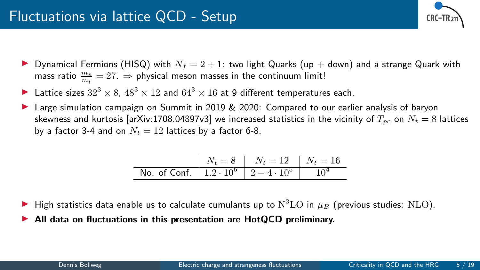

- **Dynamical Fermions (HISQ) with**  $N_f = 2 + 1$ : two light Quarks (up + down) and a strange Quark with mass ratio  $\frac{m_s}{m_l} = 27.$   $\Rightarrow$  physical meson masses in the continuum limit!
- Lattice sizes  $32^3 \times 8$ ,  $48^3 \times 12$  and  $64^3 \times 16$  at 9 different temperatures each.
- Large simulation campaign on Summit in 2019 & 2020: Compared to our earlier analysis of baryon skewness and kurtosis [arXiv:1708.04897v3] we increased statistics in the vicinity of  $T_{pc}$  on  $N_t = 8$  lattices by a factor 3-4 and on  $N_t = 12$  lattices by a factor 6-8.

|                                                    | $N_t = 8$   $N_t = 12$   $N_t = 16$ |  |
|----------------------------------------------------|-------------------------------------|--|
| No. of Conf. $1.2 \cdot 10^6$   $2 - 4 \cdot 10^5$ |                                     |  |

- $\blacktriangleright$  High statistics data enable us to calculate cumulants up to  $\mathrm{N}^{3}\mathrm{LO}$  in  $\mu_{B}$  (previous studies: NLO).
- All data on fluctuations in this presentation are HotQCD preliminary.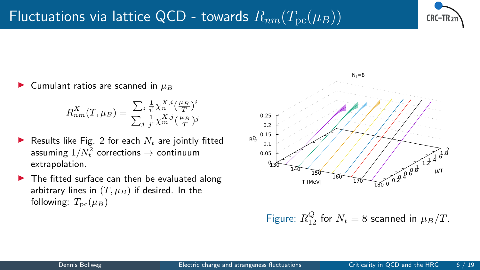

Cumulant ratios are scanned in  $\mu_B$ 

$$
R_{nm}^X(T, \mu_B) = \frac{\sum_{i} \frac{1}{i!} \chi_n^{X,i} (\frac{\mu_B}{T})^i}{\sum_{j} \frac{1}{j!} \chi_m^{X,j} (\frac{\mu_B}{T})^j}
$$

- Results like Fig. [2](#page-6-0) for each  $N_t$  are jointly fitted assuming  $1/N_t^2$  corrections  $\rightarrow$  continuum extrapolation.
- $\blacktriangleright$  The fitted surface can then be evaluated along arbitrary lines in  $(T, \mu_B)$  if desired. In the following:  $T_{\text{pc}}(\mu_B)$



<span id="page-6-0"></span>Figure:  $R_{12}^Q$  for  $N_t = 8$  scanned in  $\mu_B/T$ .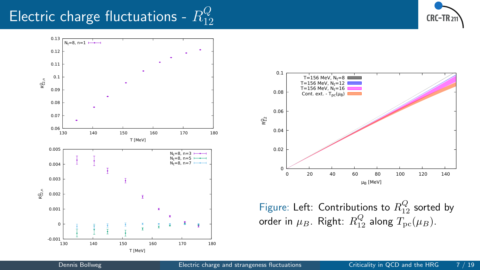#### <span id="page-7-0"></span>Electric charge fluctuations -  $R^Q_{\bar{1}\bar{2}}$ 12







Figure: Left: Contributions to  $R_{12}^Q$  sorted by order in  $\mu_B$ . Right:  $R_{12}^Q$  along  $T_{\rm pc}(\mu_B)$ .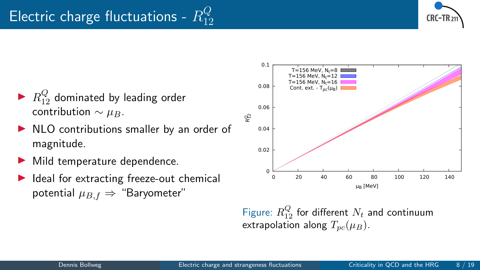

- $\blacktriangleright$   $R^Q_{12}$  dominated by leading order contribution  $\sim \mu_B$ .
- $\triangleright$  NLO contributions smaller by an order of magnitude.
- Mild temperature dependence.
- $\blacktriangleright$  Ideal for extracting freeze-out chemical potential  $\mu_{B,f} \Rightarrow$  "Baryometer"



Figure:  $R_{12}^Q$  for different  $N_t$  and continuum extrapolation along  $T_{pc}(\mu_B)$ .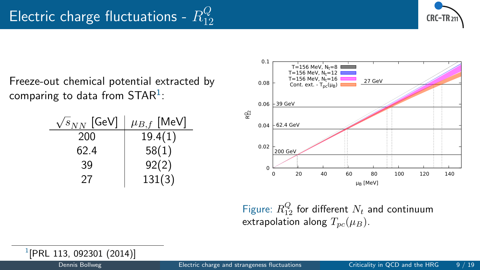

Freeze-out chemical potential extracted by comparing to data from  $\mathsf{STAR}^1$ :

| $\sqrt{s_{NN}}$ [GeV] | $\mu_{B,f}$ [MeV] |  |
|-----------------------|-------------------|--|
| 200                   | 19.4(1)           |  |
| 62.4                  | 58(1)             |  |
| 39                    | 92(2)             |  |
| 27                    | 131(3)            |  |



Figure:  $R_{12}^Q$  for different  $N_t$  and continuum extrapolation along  $T_{pc}(\mu_B)$ .

1 [PRL 113, 092301 (2014)]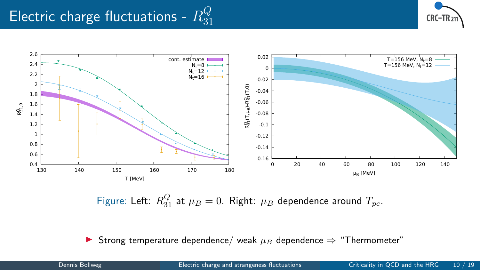#### Electric charge fluctuations -  $R^Q_{31}$ 31





Figure: Left:  $R_{31}^Q$  at  $\mu_B = 0$ . Right:  $\mu_B$  dependence around  $T_{pc}$ .

**►** Strong temperature dependence/ weak  $\mu_B$  dependence  $\Rightarrow$  "Thermometer"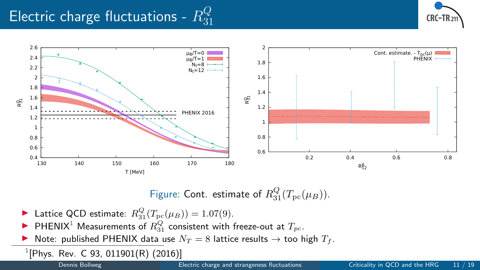#### Electric charge fluctuations -  $R^Q_{31}$ 31





### Figure: Cont. estimate of  $R_{31}^Q(T_{\text{pc}}(\mu_B)).$

- ▶ Lattice QCD estimate:  $R_{31}^Q(T_{\text{pc}}(\mu_B)) = 1.07(9)$ .
- **PHENIX<sup>1</sup>** Measurements of  $R_{31}^Q$  consistent with freeze-out at  $T_{pc}$ .
- Note: published PHENIX data use  $N_T = 8$  lattice results  $\rightarrow$  too high  $T_f$ .
- $^{1}[$ Phys. Rev. C 93, 011901(R) (2016)]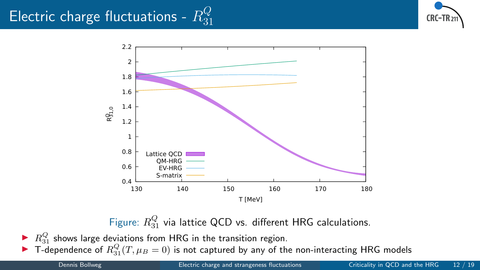#### Electric charge fluctuations -  $R^Q_{31}$ 31





Figure:  $R_{31}^Q$  via lattice QCD vs. different HRG calculations.

 $\blacktriangleright$   $R_{31}^Q$  shows large deviations from HRG in the transition region.

 $\blacktriangleright$  T-dependence of  $R_{31}^Q(T,\mu_B=0)$  is not captured by any of the non-interacting HRG models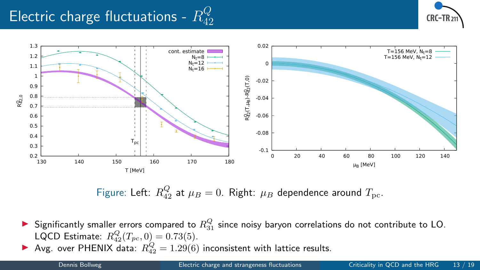#### Electric charge fluctuations -  $R^Q_{42}$ 42





Figure: Left:  $R_{42}^Q$  at  $\mu_B = 0$ . Right:  $\mu_B$  dependence around  $T_{\text{pc}}$ .

- $\blacktriangleright$  Significantly smaller errors compared to  $R_{31}^Q$  since noisy baryon correlations do not contribute to LO. LQCD Estimate:  $R_{42}^Q(T_{pc}, 0) = 0.73(5)$ .
- Avg. over PHENIX data:  $R_{42}^{Q} = 1.29(6)$  inconsistent with lattice results.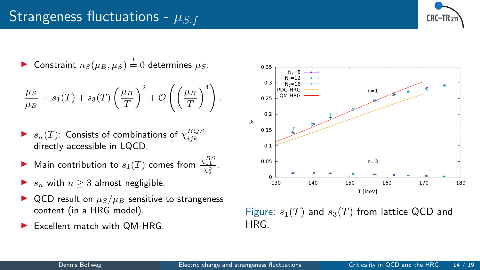## <span id="page-14-0"></span>Strangeness fluctuations -  $\mu_{S,f}$



▶ Constraint  $n_S(\mu_B, \mu_S) \stackrel{!}{=} 0$  determines  $\mu_S$ :

$$
\frac{\mu_S}{\mu_B} = s_1(T) + s_3(T) \left(\frac{\mu_B}{T}\right)^2 + \mathcal{O}\left(\left(\frac{\mu_B}{T}\right)^4\right)
$$

- $\blacktriangleright$   $s_n(T)$ : Consists of combinations of  $\chi^{BQS}_{ijk}$ directly accessible in LQCD.
- **Main contribution to**  $s_1(T)$  comes from  $\frac{\chi_{11}^{BS}}{\chi_2^S}$ .
- $s_n$  with  $n \geq 3$  almost negligible.
- QCD result on  $\mu_S/\mu_B$  sensitive to strangeness content (in a HRG model).
- $\blacktriangleright$  Excellent match with QM-HRG.



Figure:  $s_1(T)$  and  $s_3(T)$  from lattice QCD and HRG.

.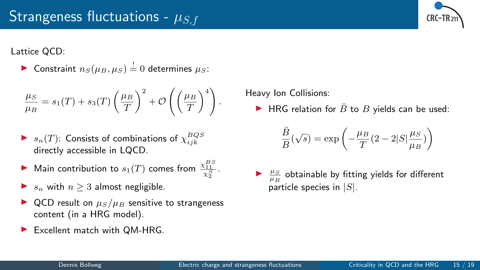

Lattice QCD:

▶ Constraint  $n_S(\mu_B, \mu_S) \stackrel{!}{=} 0$  determines  $\mu_S$ :

$$
\frac{\mu_S}{\mu_B} = s_1(T) + s_3(T) \left(\frac{\mu_B}{T}\right)^2 + \mathcal{O}\left(\left(\frac{\mu_B}{T}\right)^4\right)
$$

- $\blacktriangleright$   $s_n(T)$ : Consists of combinations of  $\chi^{BQS}_{ijk}$ directly accessible in LQCD.
- ▶ Main contribution to  $s_1(T)$  comes from  $\frac{\chi_{11}^{BS}}{\chi_2^S}$ .
- $s_n$  with  $n \geq 3$  almost negligible.
- ▶ QCD result on  $\mu_S/\mu_B$  sensitive to strangeness content (in a HRG model).
- Excellent match with QM-HRG.

Heavy Ion Collisions:

▶ HRG relation for  $\overline{B}$  to  $B$  yields can be used:

$$
\frac{\bar{B}}{B}(\sqrt{s})=\exp\left(-\frac{\mu_B}{T}(2-2|S|\frac{\mu_S}{\mu_B})\right)
$$

 $\blacktriangleright$   $\frac{\mu_S}{\mu_B}$  obtainable by fitting yields for different particle species in  $|S|$ .

.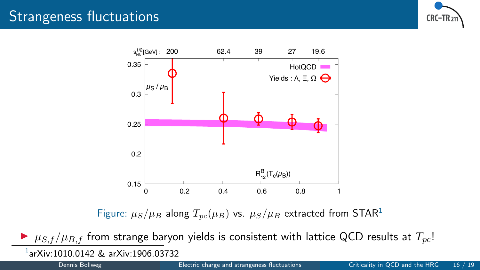### Strangeness fluctuations





Figure:  $\mu_S/\mu_B$  along  $T_{pc}(\mu_B)$  vs.  $\mu_S/\mu_B$  extracted from STAR<sup>1</sup>

 $\triangleright$   $\mu_{S,f}/\mu_{B,f}$  from strange baryon yields is consistent with lattice QCD results at  $T_{nc}$ ! 1 arXiv:1010.0142 & arXiv:1906.03732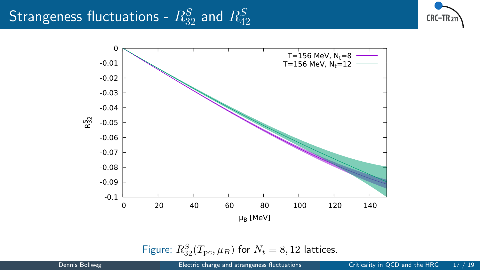# Strangeness fluctuations -  $R_{32}^S$  and  $R_{42}^S$





Figure:  $R_{32}^S(T_{\text{pc}}, \mu_B)$  for  $N_t = 8, 12$  lattices.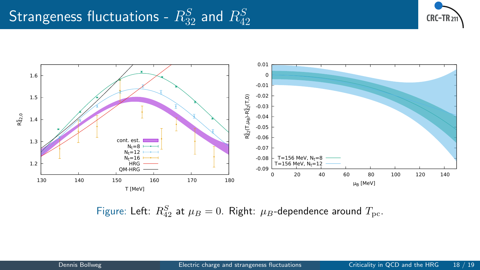# Strangeness fluctuations -  $R_{32}^S$  and  $R_{42}^S$





Figure: Left:  $R_{42}^S$  at  $\mu_B = 0$ . Right:  $\mu_B$ -dependence around  $T_{\text{pc}}$ .

Dennis Bollweg **[Electric charge and strangeness fluctuations](#page-0-0)** Criticality in QCD and the HRG 18 / 19